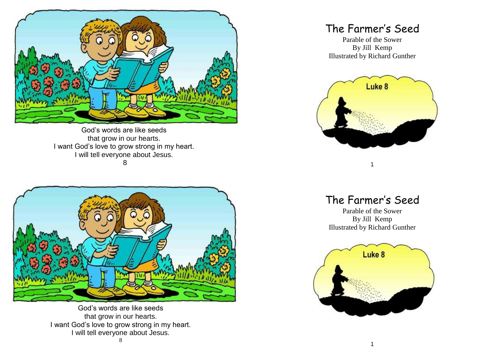

God's words are like seeds that grow in our hearts. I want God's love to grow strong in my heart. I will tell everyone about Jesus.

8



God's words are like seeds that grow in our hearts. I want God's love to grow strong in my heart. I will tell everyone about Jesus.

## The Farmer's Seed

Parable of the Sower By Jill Kemp Illustrated by Richard Gunther



The Farmer's Seed

1

Parable of the Sower By Jill Kemp Illustrated by Richard Gunther

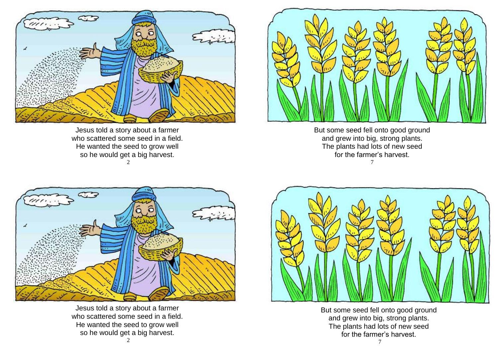

Jesus told a story about a farmer who scattered some seed in a field. He wanted the seed to grow well so he would get a big harvest. 2



But some seed fell onto good ground and grew into big, strong plants. The plants had lots of new seed for the farmer's harvest. 7



Jesus told a story about a farmer who scattered some seed in a field. He wanted the seed to grow well so he would get a big harvest.



But some seed fell onto good ground and grew into big, strong plants. The plants had lots of new seed for the farmer's harvest.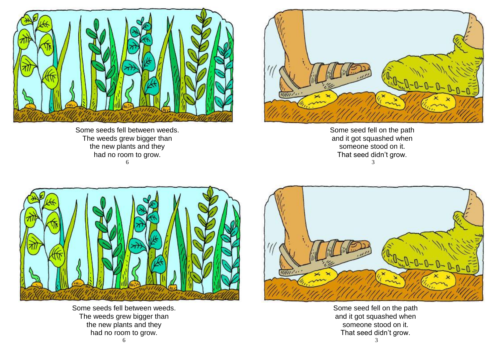

Some seeds fell between weeds. The weeds grew bigger than the new plants and they had no room to grow. 6



Some seed fell on the path and it got squashed when someone stood on it. That seed didn't grow. 3



Some seeds fell between weeds. The weeds grew bigger than the new plants and they had no room to grow.



Some seed fell on the path and it got squashed when someone stood on it. That seed didn't grow.